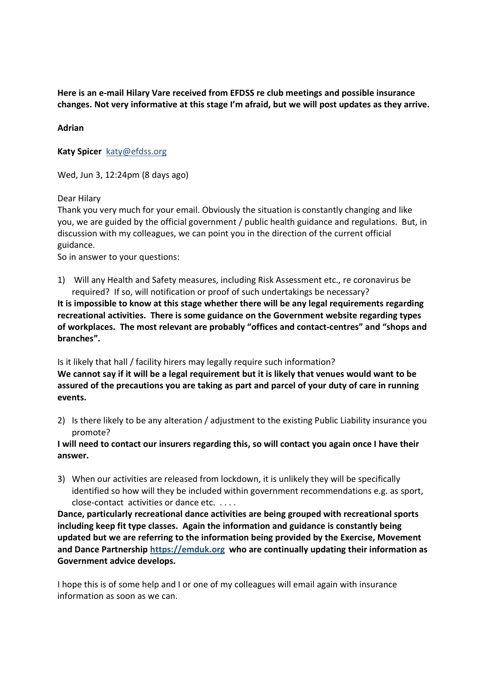Here is an e-mail Hilary Vare received from EFDSS re club meetings and possible insurance changes. Not very informative at this stage I'm afraid, but we will post updates as they arrive.

Adrian

Katy Spicer katy@efdss.org

Wed, Jun 3, 12:24pm (8 days ago)

Dear Hilary

Thank you very much for your email. Obviously the situation is constantly changing and like you, we are guided by the official government / public health guidance and regulations. But, in discussion with my colleagues, we can point you in the direction of the current official guidance.

So in answer to your questions:

1) Will any Health and Safety measures, including Risk Assessment etc., re coronavirus be required? If so, will notification or proof of such undertakings be necessary?

It is impossible to know at this stage whether there will be any legal requirements regarding recreational activities. There is some guidance on the Government website regarding types of workplaces. The most relevant are probably "offices and contact-centres" and "shops and branches".

Is it likely that hall / facility hirers may legally require such information? We cannot say if it will be a legal requirement but it is likely that venues would want to be assured of the precautions you are taking as part and parcel of your duty of care in running events.

2) Is there likely to be any alteration / adjustment to the existing Public Liability insurance you promote?

I will need to contact our insurers regarding this, so will contact you again once I have their answer.

3) When our activities are released from lockdown, it is unlikely they will be specifically identified so how will they be included within government recommendations e.g. as sport, close-contact activities or dance etc. . . . .

Dance, particularly recreational dance activities are being grouped with recreational sports including keep fit type classes. Again the information and guidance is constantly being updated but we are referring to the information being provided by the Exercise, Movement and Dance Partnership https://emduk.org who are continually updating their information as Government advice develops.

I hope this is of some help and I or one of my colleagues will email again with insurance information as soon as we can.